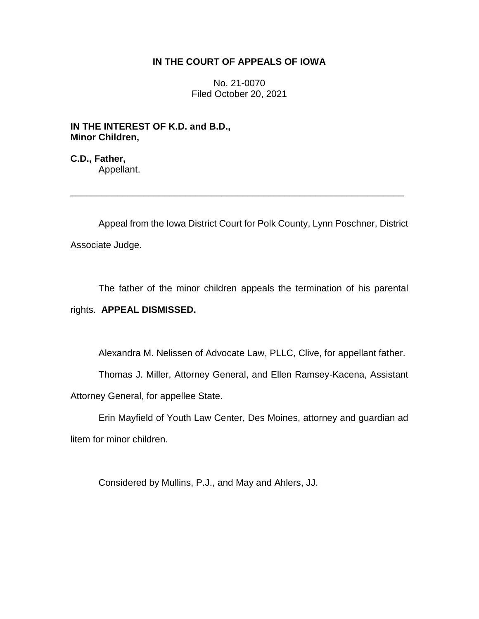## **IN THE COURT OF APPEALS OF IOWA**

No. 21-0070 Filed October 20, 2021

**IN THE INTEREST OF K.D. and B.D., Minor Children,**

**C.D., Father,** Appellant.

Appeal from the Iowa District Court for Polk County, Lynn Poschner, District Associate Judge.

\_\_\_\_\_\_\_\_\_\_\_\_\_\_\_\_\_\_\_\_\_\_\_\_\_\_\_\_\_\_\_\_\_\_\_\_\_\_\_\_\_\_\_\_\_\_\_\_\_\_\_\_\_\_\_\_\_\_\_\_\_\_\_\_

The father of the minor children appeals the termination of his parental rights. **APPEAL DISMISSED.**

Alexandra M. Nelissen of Advocate Law, PLLC, Clive, for appellant father.

Thomas J. Miller, Attorney General, and Ellen Ramsey-Kacena, Assistant Attorney General, for appellee State.

Erin Mayfield of Youth Law Center, Des Moines, attorney and guardian ad litem for minor children.

Considered by Mullins, P.J., and May and Ahlers, JJ.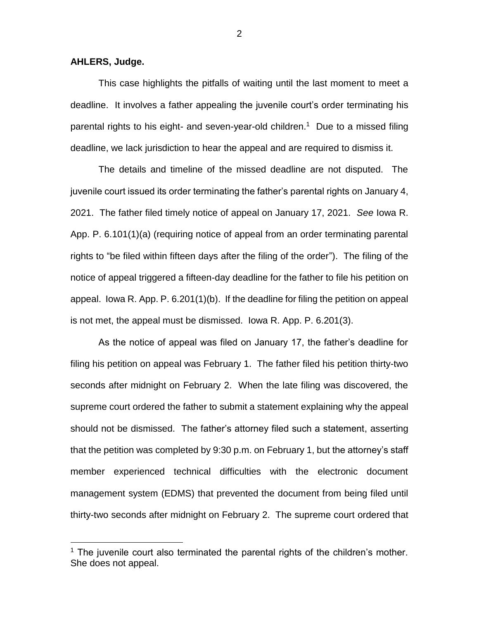**AHLERS, Judge.**

 $\overline{a}$ 

This case highlights the pitfalls of waiting until the last moment to meet a deadline. It involves a father appealing the juvenile court's order terminating his parental rights to his eight- and seven-year-old children.<sup>1</sup> Due to a missed filing deadline, we lack jurisdiction to hear the appeal and are required to dismiss it.

The details and timeline of the missed deadline are not disputed. The juvenile court issued its order terminating the father's parental rights on January 4, 2021. The father filed timely notice of appeal on January 17, 2021. *See* Iowa R. App. P. 6.101(1)(a) (requiring notice of appeal from an order terminating parental rights to "be filed within fifteen days after the filing of the order"). The filing of the notice of appeal triggered a fifteen-day deadline for the father to file his petition on appeal. Iowa R. App. P. 6.201(1)(b). If the deadline for filing the petition on appeal is not met, the appeal must be dismissed. Iowa R. App. P. 6.201(3).

As the notice of appeal was filed on January 17, the father's deadline for filing his petition on appeal was February 1. The father filed his petition thirty-two seconds after midnight on February 2. When the late filing was discovered, the supreme court ordered the father to submit a statement explaining why the appeal should not be dismissed. The father's attorney filed such a statement, asserting that the petition was completed by 9:30 p.m. on February 1, but the attorney's staff member experienced technical difficulties with the electronic document management system (EDMS) that prevented the document from being filed until thirty-two seconds after midnight on February 2. The supreme court ordered that

2

 $1$  The juvenile court also terminated the parental rights of the children's mother. She does not appeal.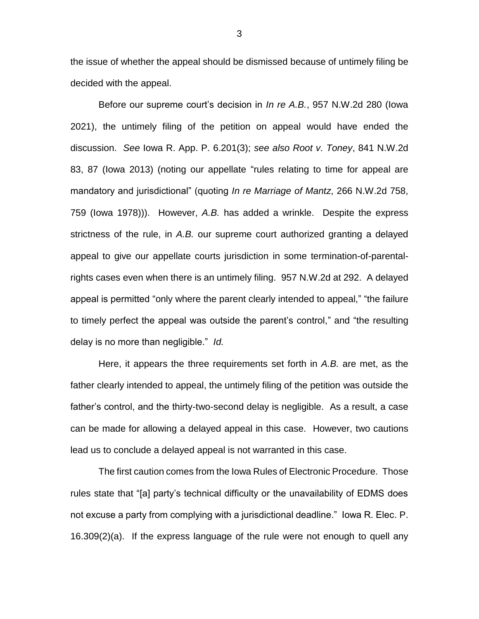the issue of whether the appeal should be dismissed because of untimely filing be decided with the appeal.

Before our supreme court's decision in *In re A.B.*, 957 N.W.2d 280 (Iowa 2021), the untimely filing of the petition on appeal would have ended the discussion. *See* Iowa R. App. P. 6.201(3); *see also Root v. Toney*, 841 N.W.2d 83, 87 (Iowa 2013) (noting our appellate "rules relating to time for appeal are mandatory and jurisdictional" (quoting *In re Marriage of Mantz*, 266 N.W.2d 758, 759 (Iowa 1978))). However, *A.B.* has added a wrinkle. Despite the express strictness of the rule, in *A.B.* our supreme court authorized granting a delayed appeal to give our appellate courts jurisdiction in some termination-of-parentalrights cases even when there is an untimely filing. 957 N.W.2d at 292. A delayed appeal is permitted "only where the parent clearly intended to appeal," "the failure to timely perfect the appeal was outside the parent's control," and "the resulting delay is no more than negligible." *Id.*

Here, it appears the three requirements set forth in *A.B.* are met, as the father clearly intended to appeal, the untimely filing of the petition was outside the father's control, and the thirty-two-second delay is negligible. As a result, a case can be made for allowing a delayed appeal in this case. However, two cautions lead us to conclude a delayed appeal is not warranted in this case.

The first caution comes from the Iowa Rules of Electronic Procedure. Those rules state that "[a] party's technical difficulty or the unavailability of EDMS does not excuse a party from complying with a jurisdictional deadline." Iowa R. Elec. P. 16.309(2)(a). If the express language of the rule were not enough to quell any

3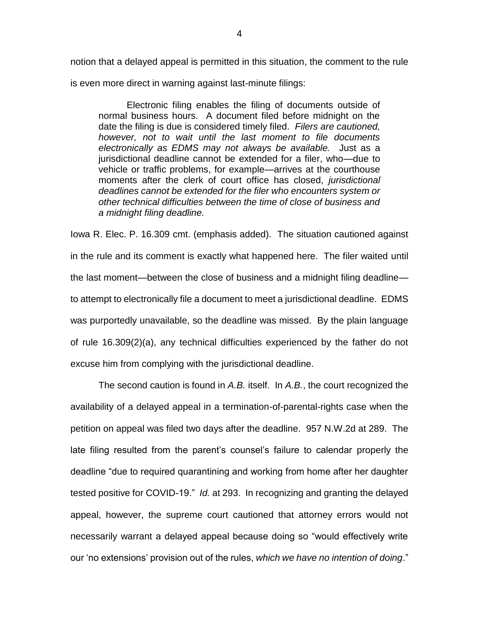notion that a delayed appeal is permitted in this situation, the comment to the rule is even more direct in warning against last-minute filings:

Electronic filing enables the filing of documents outside of normal business hours. A document filed before midnight on the date the filing is due is considered timely filed. *Filers are cautioned, however, not to wait until the last moment to file documents electronically as EDMS may not always be available.* Just as a jurisdictional deadline cannot be extended for a filer, who—due to vehicle or traffic problems, for example—arrives at the courthouse moments after the clerk of court office has closed, *jurisdictional deadlines cannot be extended for the filer who encounters system or other technical difficulties between the time of close of business and a midnight filing deadline.*

Iowa R. Elec. P. 16.309 cmt. (emphasis added). The situation cautioned against in the rule and its comment is exactly what happened here. The filer waited until the last moment—between the close of business and a midnight filing deadline to attempt to electronically file a document to meet a jurisdictional deadline. EDMS was purportedly unavailable, so the deadline was missed. By the plain language of rule 16.309(2)(a), any technical difficulties experienced by the father do not excuse him from complying with the jurisdictional deadline.

The second caution is found in *A.B.* itself. In *A.B.*, the court recognized the availability of a delayed appeal in a termination-of-parental-rights case when the petition on appeal was filed two days after the deadline. 957 N.W.2d at 289. The late filing resulted from the parent's counsel's failure to calendar properly the deadline "due to required quarantining and working from home after her daughter tested positive for COVID-19." *Id.* at 293. In recognizing and granting the delayed appeal, however, the supreme court cautioned that attorney errors would not necessarily warrant a delayed appeal because doing so "would effectively write our 'no extensions' provision out of the rules, *which we have no intention of doing*."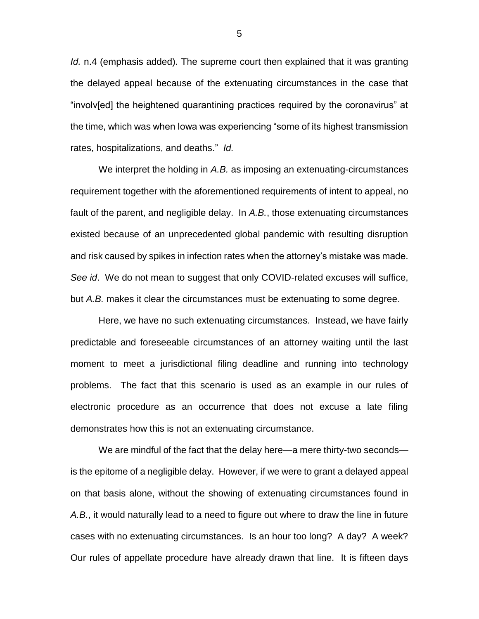*Id.* n.4 (emphasis added). The supreme court then explained that it was granting the delayed appeal because of the extenuating circumstances in the case that "involv[ed] the heightened quarantining practices required by the coronavirus" at the time, which was when Iowa was experiencing "some of its highest transmission rates, hospitalizations, and deaths." *Id.*

We interpret the holding in *A.B.* as imposing an extenuating-circumstances requirement together with the aforementioned requirements of intent to appeal, no fault of the parent, and negligible delay. In *A.B.*, those extenuating circumstances existed because of an unprecedented global pandemic with resulting disruption and risk caused by spikes in infection rates when the attorney's mistake was made. *See id*.We do not mean to suggest that only COVID-related excuses will suffice, but *A.B.* makes it clear the circumstances must be extenuating to some degree.

Here, we have no such extenuating circumstances. Instead, we have fairly predictable and foreseeable circumstances of an attorney waiting until the last moment to meet a jurisdictional filing deadline and running into technology problems. The fact that this scenario is used as an example in our rules of electronic procedure as an occurrence that does not excuse a late filing demonstrates how this is not an extenuating circumstance.

We are mindful of the fact that the delay here—a mere thirty-two seconds is the epitome of a negligible delay. However, if we were to grant a delayed appeal on that basis alone, without the showing of extenuating circumstances found in *A.B.*, it would naturally lead to a need to figure out where to draw the line in future cases with no extenuating circumstances. Is an hour too long? A day? A week? Our rules of appellate procedure have already drawn that line. It is fifteen days

5